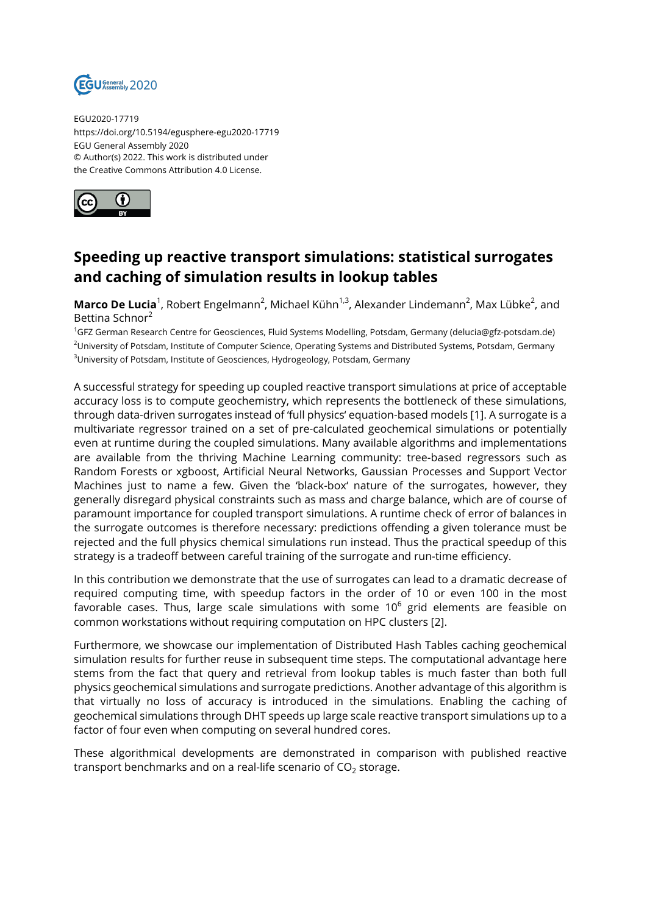

EGU2020-17719 https://doi.org/10.5194/egusphere-egu2020-17719 EGU General Assembly 2020 © Author(s) 2022. This work is distributed under the Creative Commons Attribution 4.0 License.



## **Speeding up reactive transport simulations: statistical surrogates and caching of simulation results in lookup tables**

**Marco De Lucia**<sup>1</sup>, Robert Engelmann<sup>2</sup>, Michael Kühn<sup>1,3</sup>, Alexander Lindemann<sup>2</sup>, Max Lübke<sup>2</sup>, and Bettina Schnor<sup>2</sup>

<sup>1</sup>GFZ German Research Centre for Geosciences, Fluid Systems Modelling, Potsdam, Germany (delucia@gfz-potsdam.de) <sup>2</sup>University of Potsdam, Institute of Computer Science, Operating Systems and Distributed Systems, Potsdam, Germany <sup>3</sup>University of Potsdam, Institute of Geosciences, Hydrogeology, Potsdam, Germany

A successful strategy for speeding up coupled reactive transport simulations at price of acceptable accuracy loss is to compute geochemistry, which represents the bottleneck of these simulations, through data-driven surrogates instead of 'full physics' equation-based models [1]. A surrogate is a multivariate regressor trained on a set of pre-calculated geochemical simulations or potentially even at runtime during the coupled simulations. Many available algorithms and implementations are available from the thriving Machine Learning community: tree-based regressors such as Random Forests or xgboost, Artificial Neural Networks, Gaussian Processes and Support Vector Machines just to name a few. Given the 'black-box' nature of the surrogates, however, they generally disregard physical constraints such as mass and charge balance, which are of course of paramount importance for coupled transport simulations. A runtime check of error of balances in the surrogate outcomes is therefore necessary: predictions offending a given tolerance must be rejected and the full physics chemical simulations run instead. Thus the practical speedup of this strategy is a tradeoff between careful training of the surrogate and run-time efficiency.

In this contribution we demonstrate that the use of surrogates can lead to a dramatic decrease of required computing time, with speedup factors in the order of 10 or even 100 in the most favorable cases. Thus, large scale simulations with some 10 $^6$  grid elements are feasible on common workstations without requiring computation on HPC clusters [2].

Furthermore, we showcase our implementation of Distributed Hash Tables caching geochemical simulation results for further reuse in subsequent time steps. The computational advantage here stems from the fact that query and retrieval from lookup tables is much faster than both full physics geochemical simulations and surrogate predictions. Another advantage of this algorithm is that virtually no loss of accuracy is introduced in the simulations. Enabling the caching of geochemical simulations through DHT speeds up large scale reactive transport simulations up to a factor of four even when computing on several hundred cores.

These algorithmical developments are demonstrated in comparison with published reactive transport benchmarks and on a real-life scenario of CO $_2$  storage.